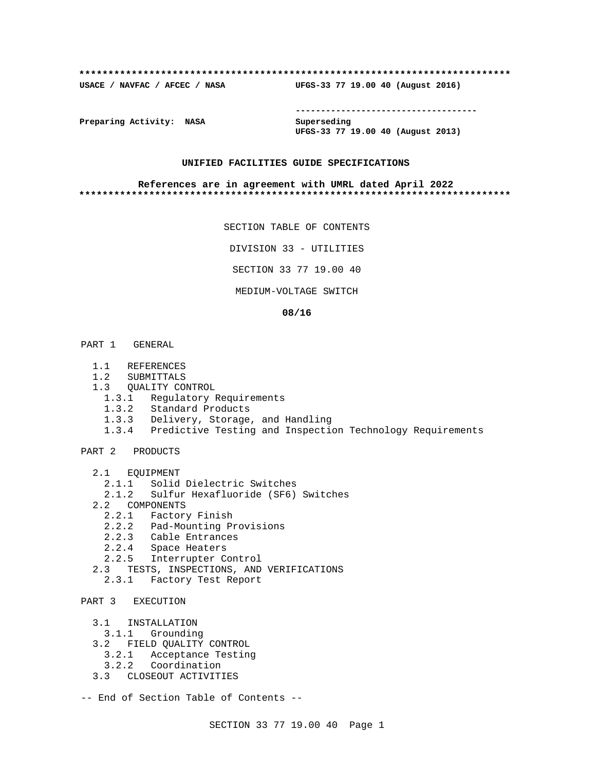#### **\*\*\*\*\*\*\*\*\*\*\*\*\*\*\*\*\*\*\*\*\*\*\*\*\*\*\*\*\*\*\*\*\*\*\*\*\*\*\*\*\*\*\*\*\*\*\*\*\*\*\*\*\*\*\*\*\*\*\*\*\*\*\*\*\*\*\*\*\*\*\*\*\*\***

**USACE / NAVFAC / AFCEC / NASA UFGS-33 77 19.00 40 (August 2016)**

**------------------------------------**

**Preparing Activity: NASA Superseding**

**UFGS-33 77 19.00 40 (August 2013)**

## **UNIFIED FACILITIES GUIDE SPECIFICATIONS**

#### **References are in agreement with UMRL dated April 2022 \*\*\*\*\*\*\*\*\*\*\*\*\*\*\*\*\*\*\*\*\*\*\*\*\*\*\*\*\*\*\*\*\*\*\*\*\*\*\*\*\*\*\*\*\*\*\*\*\*\*\*\*\*\*\*\*\*\*\*\*\*\*\*\*\*\*\*\*\*\*\*\*\*\***

## SECTION TABLE OF CONTENTS

DIVISION 33 - UTILITIES

SECTION 33 77 19.00 40

MEDIUM-VOLTAGE SWITCH

#### **08/16**

- PART 1 GENERAL
	- 1.1 REFERENCES
	- 1.2 SUBMITTALS
	- 1.3 QUALITY CONTROL
		- 1.3.1 Regulatory Requirements
		- 1.3.2 Standard Products
		- 1.3.3 Delivery, Storage, and Handling
		- 1.3.4 Predictive Testing and Inspection Technology Requirements
- PART 2 PRODUCTS
	- 2.1 EQUIPMENT
		- 2.1.1 Solid Dielectric Switches
	- 2.1.2 Sulfur Hexafluoride (SF6) Switches
	- 2.2 COMPONENTS
		- 2.2.1 Factory Finish
		- 2.2.2 Pad-Mounting Provisions
		- 2.2.3 Cable Entrances
		- 2.2.4 Space Heaters
		- 2.2.5 Interrupter Control
	- 2.3 TESTS, INSPECTIONS, AND VERIFICATIONS
		- 2.3.1 Factory Test Report

# PART 3 EXECUTION

- 3.1 INSTALLATION
- 3.1.1 Grounding
- 3.2 FIELD QUALITY CONTROL
- 3.2.1 Acceptance Testing
- 3.2.2 Coordination
- 3.3 CLOSEOUT ACTIVITIES

-- End of Section Table of Contents --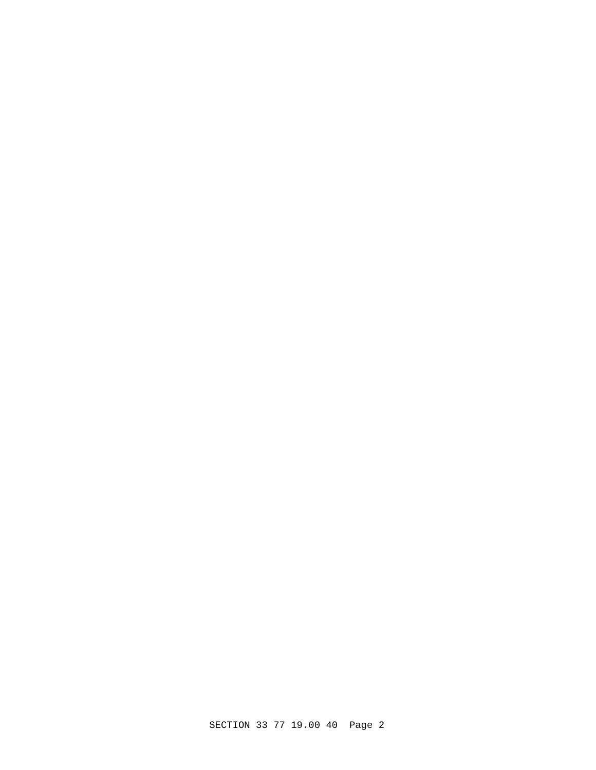SECTION 33 77 19.00 40 Page 2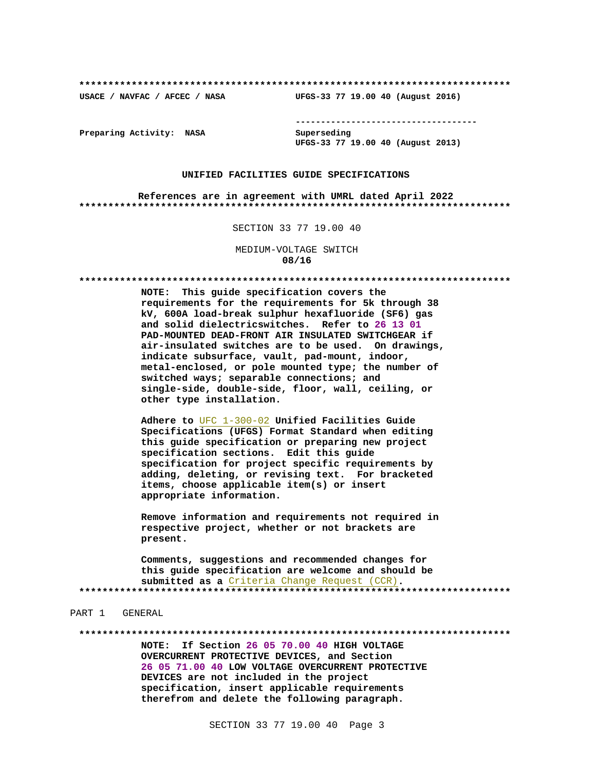**\*\*\*\*\*\*\*\*\*\*\*\*\*\*\*\*\*\*\*\*\*\*\*\*\*\*\*\*\*\*\*\*\*\*\*\*\*\*\*\*\*\*\*\*\*\*\*\*\*\*\*\*\*\*\*\*\*\*\*\*\*\*\*\*\*\*\*\*\*\*\*\*\*\***

**USACE / NAVFAC / AFCEC / NASA UFGS-33 77 19.00 40 (August 2016)**

**------------------------------------**

**Preparing Activity: NASA Superseding**

**UFGS-33 77 19.00 40 (August 2013)**

### **UNIFIED FACILITIES GUIDE SPECIFICATIONS**

**References are in agreement with UMRL dated April 2022 \*\*\*\*\*\*\*\*\*\*\*\*\*\*\*\*\*\*\*\*\*\*\*\*\*\*\*\*\*\*\*\*\*\*\*\*\*\*\*\*\*\*\*\*\*\*\*\*\*\*\*\*\*\*\*\*\*\*\*\*\*\*\*\*\*\*\*\*\*\*\*\*\*\***

### SECTION 33 77 19.00 40

MEDIUM-VOLTAGE SWITCH **08/16**

**\*\*\*\*\*\*\*\*\*\*\*\*\*\*\*\*\*\*\*\*\*\*\*\*\*\*\*\*\*\*\*\*\*\*\*\*\*\*\*\*\*\*\*\*\*\*\*\*\*\*\*\*\*\*\*\*\*\*\*\*\*\*\*\*\*\*\*\*\*\*\*\*\*\***

**NOTE: This guide specification covers the requirements for the requirements for 5k through 38 kV, 600A load-break sulphur hexafluoride (SF6) gas and solid dielectricswitches. Refer to 26 13 01 PAD-MOUNTED DEAD-FRONT AIR INSULATED SWITCHGEAR if air-insulated switches are to be used. On drawings, indicate subsurface, vault, pad-mount, indoor, metal-enclosed, or pole mounted type; the number of switched ways; separable connections; and single-side, double-side, floor, wall, ceiling, or other type installation.**

**Adhere to** UFC 1-300-02 **Unified Facilities Guide Specifications (UFGS) Format Standard when editing this guide specification or preparing new project specification sections. Edit this guide specification for project specific requirements by adding, deleting, or revising text. For bracketed items, choose applicable item(s) or insert appropriate information.**

**Remove information and requirements not required in respective project, whether or not brackets are present.**

**Comments, suggestions and recommended changes for this guide specification are welcome and should be submitted as a** Criteria Change Request (CCR)**. \*\*\*\*\*\*\*\*\*\*\*\*\*\*\*\*\*\*\*\*\*\*\*\*\*\*\*\*\*\*\*\*\*\*\*\*\*\*\*\*\*\*\*\*\*\*\*\*\*\*\*\*\*\*\*\*\*\*\*\*\*\*\*\*\*\*\*\*\*\*\*\*\*\***

### PART 1 GENERAL

**\*\*\*\*\*\*\*\*\*\*\*\*\*\*\*\*\*\*\*\*\*\*\*\*\*\*\*\*\*\*\*\*\*\*\*\*\*\*\*\*\*\*\*\*\*\*\*\*\*\*\*\*\*\*\*\*\*\*\*\*\*\*\*\*\*\*\*\*\*\*\*\*\*\* NOTE: If Section 26 05 70.00 40 HIGH VOLTAGE OVERCURRENT PROTECTIVE DEVICES, and Section 26 05 71.00 40 LOW VOLTAGE OVERCURRENT PROTECTIVE DEVICES are not included in the project specification, insert applicable requirements**

**therefrom and delete the following paragraph.**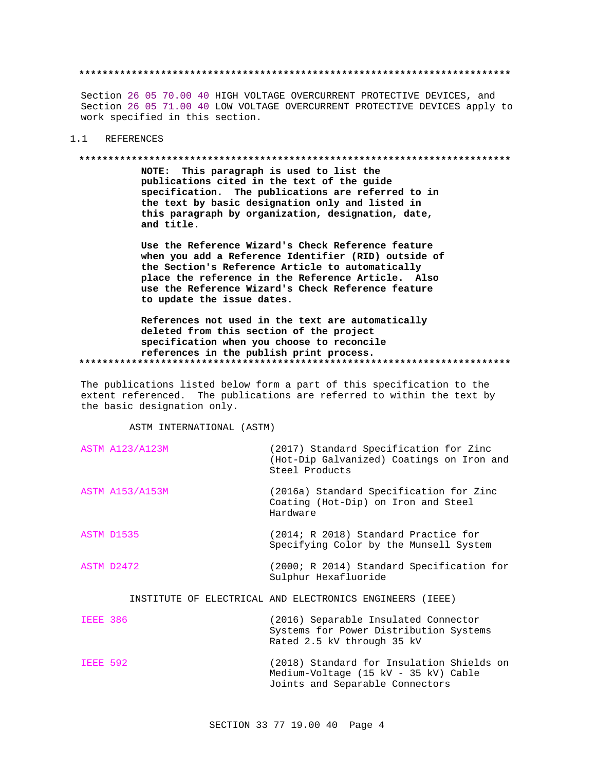#### 

Section 26 05 70.00 40 HIGH VOLTAGE OVERCURRENT PROTECTIVE DEVICES, and Section 26 05 71.00 40 LOW VOLTAGE OVERCURRENT PROTECTIVE DEVICES apply to work specified in this section.

#### $1.1$ **REFERENCES**

#### 

NOTE: This paragraph is used to list the publications cited in the text of the guide specification. The publications are referred to in the text by basic designation only and listed in this paragraph by organization, designation, date, and title.

Use the Reference Wizard's Check Reference feature when you add a Reference Identifier (RID) outside of the Section's Reference Article to automatically place the reference in the Reference Article. Also use the Reference Wizard's Check Reference feature to update the issue dates.

References not used in the text are automatically deleted from this section of the project specification when you choose to reconcile references in the publish print process. 

The publications listed below form a part of this specification to the extent referenced. The publications are referred to within the text by the basic designation only.

ASTM INTERNATIONAL (ASTM)

|                 | <b>ASTM A123/A123M</b> | (2017) Standard Specification for Zinc<br>(Hot-Dip Galvanized) Coatings on Iron and<br>Steel Products                |
|-----------------|------------------------|----------------------------------------------------------------------------------------------------------------------|
|                 | <b>ASTM A153/A153M</b> | (2016a) Standard Specification for Zinc<br>Coating (Hot-Dip) on Iron and Steel<br>Hardware                           |
|                 | ASTM D1535             | (2014; R 2018) Standard Practice for<br>Specifying Color by the Munsell System                                       |
|                 | ASTM D2472             | (2000; R 2014) Standard Specification for<br>Sulphur Hexafluoride                                                    |
|                 |                        | INSTITUTE OF ELECTRICAL AND ELECTRONICS ENGINEERS (IEEE)                                                             |
| <b>IEEE 386</b> |                        | (2016) Separable Insulated Connector<br>Systems for Power Distribution Systems<br>Rated 2.5 kV through 35 kV         |
| <b>IEEE 592</b> |                        | (2018) Standard for Insulation Shields on<br>Medium-Voltage (15 kV - 35 kV) Cable<br>Joints and Separable Connectors |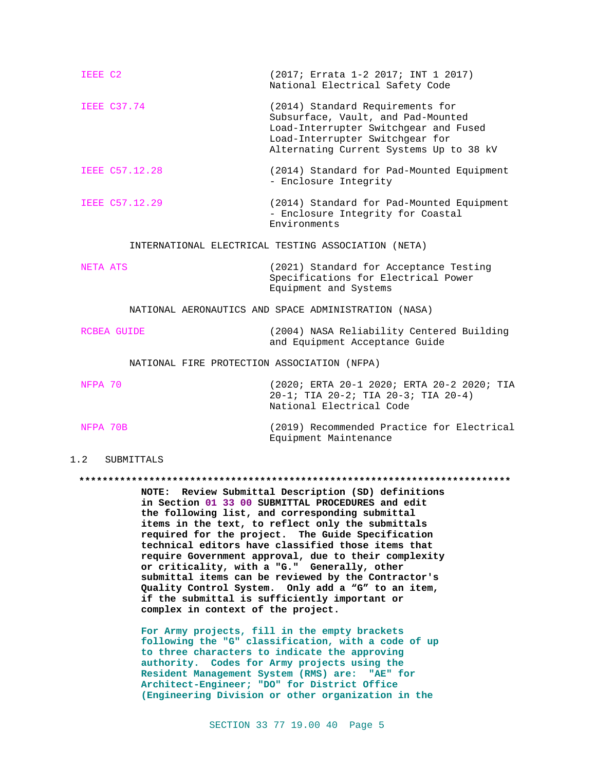| IEEE C2                                              | (2017; Errata 1-2 2017; INT 1 2017)<br>National Electrical Safety Code                                                                                                                        |  |
|------------------------------------------------------|-----------------------------------------------------------------------------------------------------------------------------------------------------------------------------------------------|--|
| <b>IEEE C37.74</b>                                   | (2014) Standard Requirements for<br>Subsurface, Vault, and Pad-Mounted<br>Load-Interrupter Switchgear and Fused<br>Load-Interrupter Switchgear for<br>Alternating Current Systems Up to 38 kV |  |
| IEEE C57.12.28                                       | (2014) Standard for Pad-Mounted Equipment<br>- Enclosure Integrity                                                                                                                            |  |
| IEEE C57.12.29                                       | (2014) Standard for Pad-Mounted Equipment<br>- Enclosure Integrity for Coastal<br>Environments                                                                                                |  |
| INTERNATIONAL ELECTRICAL TESTING ASSOCIATION (NETA)  |                                                                                                                                                                                               |  |
| NETA ATS                                             | (2021) Standard for Acceptance Testing<br>Specifications for Electrical Power<br>Equipment and Systems                                                                                        |  |
| NATIONAL AERONAUTICS AND SPACE ADMINISTRATION (NASA) |                                                                                                                                                                                               |  |
| RCBEA GUIDE                                          | (2004) NASA Reliability Centered Building<br>and Equipment Acceptance Guide                                                                                                                   |  |
| NATIONAL FIRE PROTECTION ASSOCIATION (NFPA)          |                                                                                                                                                                                               |  |
| NFPA 70                                              | (2020; ERTA 20-1 2020; ERTA 20-2 2020; TIA<br>20-1; TIA 20-2; TIA 20-3; TIA 20-4)<br>National Electrical Code                                                                                 |  |
| NFPA 70B                                             | (2019) Recommended Practice for Electrical<br>Equipment Maintenance                                                                                                                           |  |

### 1.2 SUBMITTALS

#### **\*\*\*\*\*\*\*\*\*\*\*\*\*\*\*\*\*\*\*\*\*\*\*\*\*\*\*\*\*\*\*\*\*\*\*\*\*\*\*\*\*\*\*\*\*\*\*\*\*\*\*\*\*\*\*\*\*\*\*\*\*\*\*\*\*\*\*\*\*\*\*\*\*\***

**NOTE: Review Submittal Description (SD) definitions in Section 01 33 00 SUBMITTAL PROCEDURES and edit the following list, and corresponding submittal items in the text, to reflect only the submittals required for the project. The Guide Specification technical editors have classified those items that require Government approval, due to their complexity or criticality, with a "G." Generally, other submittal items can be reviewed by the Contractor's Quality Control System. Only add a "G" to an item, if the submittal is sufficiently important or complex in context of the project.**

**For Army projects, fill in the empty brackets following the "G" classification, with a code of up to three characters to indicate the approving authority. Codes for Army projects using the Resident Management System (RMS) are: "AE" for Architect-Engineer; "DO" for District Office (Engineering Division or other organization in the**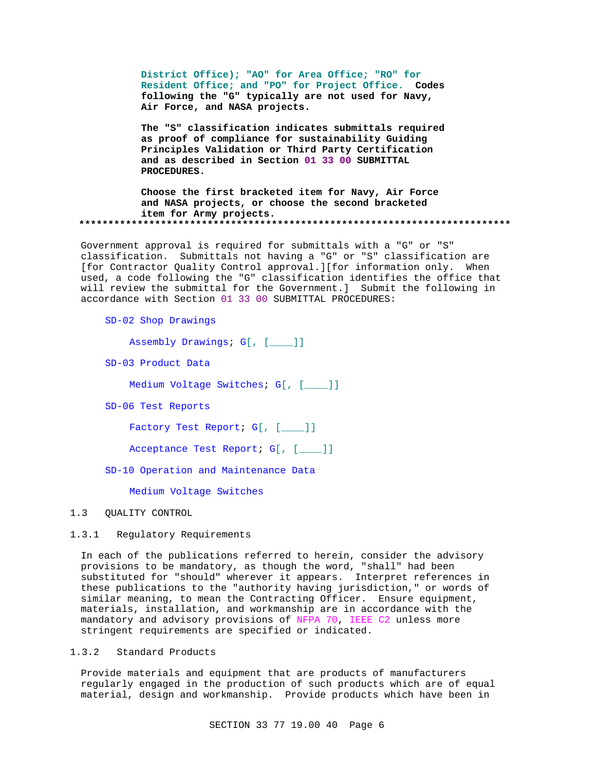**District Office); "AO" for Area Office; "RO" for Resident Office; and "PO" for Project Office. Codes following the "G" typically are not used for Navy, Air Force, and NASA projects.**

**The "S" classification indicates submittals required as proof of compliance for sustainability Guiding Principles Validation or Third Party Certification and as described in Section 01 33 00 SUBMITTAL PROCEDURES.**

**Choose the first bracketed item for Navy, Air Force and NASA projects, or choose the second bracketed item for Army projects. \*\*\*\*\*\*\*\*\*\*\*\*\*\*\*\*\*\*\*\*\*\*\*\*\*\*\*\*\*\*\*\*\*\*\*\*\*\*\*\*\*\*\*\*\*\*\*\*\*\*\*\*\*\*\*\*\*\*\*\*\*\*\*\*\*\*\*\*\*\*\*\*\*\***

Government approval is required for submittals with a "G" or "S" classification. Submittals not having a "G" or "S" classification are [for Contractor Quality Control approval.][for information only. When used, a code following the "G" classification identifies the office that will review the submittal for the Government.] Submit the following in accordance with Section 01 33 00 SUBMITTAL PROCEDURES:

SD-02 Shop Drawings

Assembly Drawings; G[, [\_\_\_\_]]

SD-03 Product Data

Medium Voltage Switches; G[, [\_\_\_\_]]

SD-06 Test Reports

Factory Test Report; G[, [\_\_\_]]

Acceptance Test Report; G[, [\_\_\_]]

SD-10 Operation and Maintenance Data

Medium Voltage Switches

## 1.3 QUALITY CONTROL

## 1.3.1 Regulatory Requirements

In each of the publications referred to herein, consider the advisory provisions to be mandatory, as though the word, "shall" had been substituted for "should" wherever it appears. Interpret references in these publications to the "authority having jurisdiction," or words of similar meaning, to mean the Contracting Officer. Ensure equipment, materials, installation, and workmanship are in accordance with the mandatory and advisory provisions of NFPA 70, IEEE C2 unless more stringent requirements are specified or indicated.

## 1.3.2 Standard Products

Provide materials and equipment that are products of manufacturers regularly engaged in the production of such products which are of equal material, design and workmanship. Provide products which have been in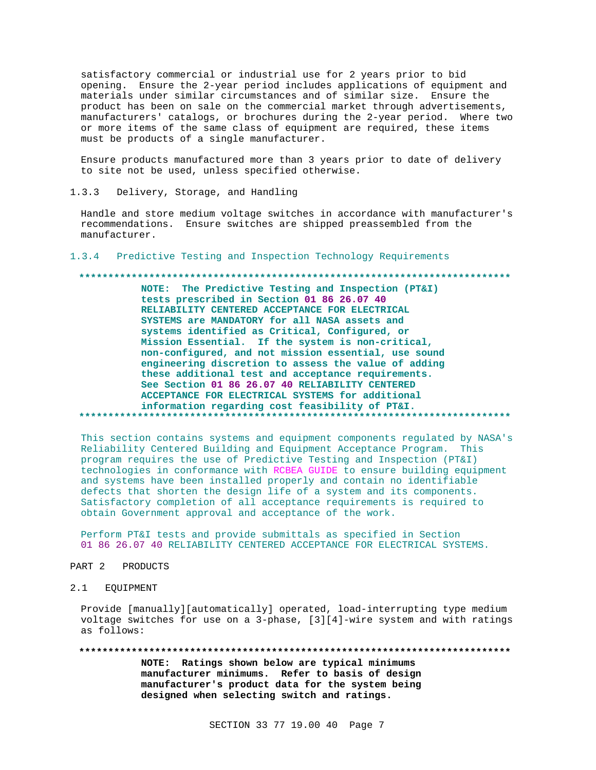satisfactory commercial or industrial use for 2 years prior to bid opening. Ensure the 2-year period includes applications of equipment and materials under similar circumstances and of similar size. Ensure the product has been on sale on the commercial market through advertisements, manufacturers' catalogs, or brochures during the 2-year period. Where two or more items of the same class of equipment are required, these items must be products of a single manufacturer.

Ensure products manufactured more than 3 years prior to date of delivery to site not be used, unless specified otherwise.

#### $1.3.3$ Delivery, Storage, and Handling

Handle and store medium voltage switches in accordance with manufacturer's recommendations. Ensure switches are shipped preassembled from the manufacturer.

#### Predictive Testing and Inspection Technology Requirements  $1.3.4$

# 

NOTE: The Predictive Testing and Inspection (PT&I) tests prescribed in Section 01 86 26.07 40 RELIABILITY CENTERED ACCEPTANCE FOR ELECTRICAL SYSTEMS are MANDATORY for all NASA assets and systems identified as Critical, Configured, or Mission Essential. If the system is non-critical, non-configured, and not mission essential, use sound engineering discretion to assess the value of adding these additional test and acceptance requirements. See Section 01 86 26.07 40 RELIABILITY CENTERED ACCEPTANCE FOR ELECTRICAL SYSTEMS for additional information regarding cost feasibility of PT&I. 

This section contains systems and equipment components regulated by NASA's Reliability Centered Building and Equipment Acceptance Program. This program requires the use of Predictive Testing and Inspection (PT&I) technologies in conformance with RCBEA GUIDE to ensure building equipment and systems have been installed properly and contain no identifiable defects that shorten the design life of a system and its components. Satisfactory completion of all acceptance requirements is required to obtain Government approval and acceptance of the work.

Perform PT&I tests and provide submittals as specified in Section 01 86 26.07 40 RELIABILITY CENTERED ACCEPTANCE FOR ELECTRICAL SYSTEMS.

#### PART 2 PRODUCTS

### 2.1 EOUIPMENT

Provide [manually][automatically] operated, load-interrupting type medium voltage switches for use on a 3-phase, [3][4]-wire system and with ratings as follows:

#### 

NOTE: Ratings shown below are typical minimums manufacturer minimums. Refer to basis of design manufacturer's product data for the system being designed when selecting switch and ratings.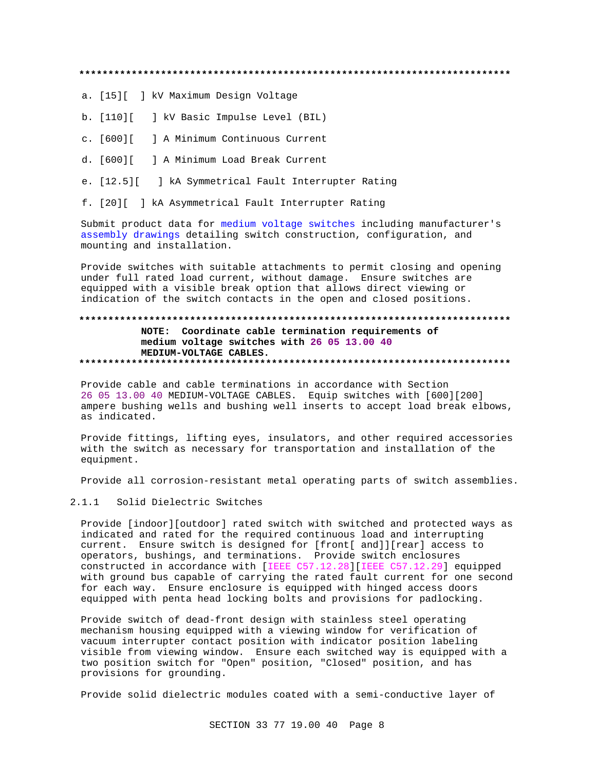- a. [15] [ ] kV Maximum Design Voltage
- b. [110][ ] kV Basic Impulse Level (BIL)
- $c. [600]$ [ ] A Minimum Continuous Current
- $d. [600]$ [ ] A Minimum Load Break Current
- e. [12.5][ ] kA Symmetrical Fault Interrupter Rating
- f. [20][ ] kA Asymmetrical Fault Interrupter Rating

Submit product data for medium voltage switches including manufacturer's assembly drawings detailing switch construction, configuration, and mounting and installation.

Provide switches with suitable attachments to permit closing and opening under full rated load current, without damage. Ensure switches are equipped with a visible break option that allows direct viewing or indication of the switch contacts in the open and closed positions.

## NOTE: Coordinate cable termination requirements of medium voltage switches with 26 05 13.00 40 MEDIUM-VOLTAGE CABLES.

Provide cable and cable terminations in accordance with Section 26 05 13.00 40 MEDIUM-VOLTAGE CABLES. Equip switches with [600][200] ampere bushing wells and bushing well inserts to accept load break elbows, as indicated.

Provide fittings, lifting eyes, insulators, and other required accessories with the switch as necessary for transportation and installation of the equipment.

Provide all corrosion-resistant metal operating parts of switch assemblies.

Solid Dielectric Switches  $2.1.1$ 

Provide [indoor][outdoor] rated switch with switched and protected ways as indicated and rated for the required continuous load and interrupting current. Ensure switch is designed for [front[ and]][rear] access to operators, bushings, and terminations. Provide switch enclosures constructed in accordance with [IEEE C57.12.28] [IEEE C57.12.29] equipped with ground bus capable of carrying the rated fault current for one second for each way. Ensure enclosure is equipped with hinged access doors equipped with penta head locking bolts and provisions for padlocking.

Provide switch of dead-front design with stainless steel operating mechanism housing equipped with a viewing window for verification of vacuum interrupter contact position with indicator position labeling visible from viewing window. Ensure each switched way is equipped with a two position switch for "Open" position, "Closed" position, and has provisions for grounding.

Provide solid dielectric modules coated with a semi-conductive layer of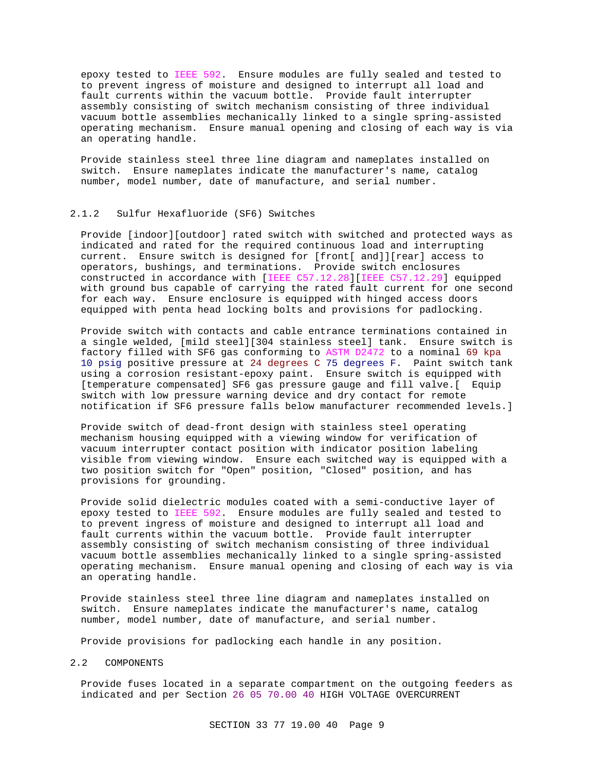epoxy tested to IEEE 592. Ensure modules are fully sealed and tested to to prevent ingress of moisture and designed to interrupt all load and fault currents within the vacuum bottle. Provide fault interrupter assembly consisting of switch mechanism consisting of three individual vacuum bottle assemblies mechanically linked to a single spring-assisted operating mechanism. Ensure manual opening and closing of each way is via an operating handle.

Provide stainless steel three line diagram and nameplates installed on switch. Ensure nameplates indicate the manufacturer's name, catalog number, model number, date of manufacture, and serial number.

# 2.1.2 Sulfur Hexafluoride (SF6) Switches

Provide [indoor][outdoor] rated switch with switched and protected ways as indicated and rated for the required continuous load and interrupting current. Ensure switch is designed for [front[ and]][rear] access to operators, bushings, and terminations. Provide switch enclosures constructed in accordance with [IEEE C57.12.28][IEEE C57.12.29] equipped with ground bus capable of carrying the rated fault current for one second for each way. Ensure enclosure is equipped with hinged access doors equipped with penta head locking bolts and provisions for padlocking.

Provide switch with contacts and cable entrance terminations contained in a single welded, [mild steel][304 stainless steel] tank. Ensure switch is factory filled with SF6 gas conforming to ASTM D2472 to a nominal 69 kpa 10 psig positive pressure at 24 degrees C 75 degrees F. Paint switch tank using a corrosion resistant-epoxy paint. Ensure switch is equipped with [temperature compensated] SF6 gas pressure gauge and fill valve.[ Equip switch with low pressure warning device and dry contact for remote notification if SF6 pressure falls below manufacturer recommended levels.]

Provide switch of dead-front design with stainless steel operating mechanism housing equipped with a viewing window for verification of vacuum interrupter contact position with indicator position labeling visible from viewing window. Ensure each switched way is equipped with a two position switch for "Open" position, "Closed" position, and has provisions for grounding.

Provide solid dielectric modules coated with a semi-conductive layer of epoxy tested to IEEE 592. Ensure modules are fully sealed and tested to to prevent ingress of moisture and designed to interrupt all load and fault currents within the vacuum bottle. Provide fault interrupter assembly consisting of switch mechanism consisting of three individual vacuum bottle assemblies mechanically linked to a single spring-assisted operating mechanism. Ensure manual opening and closing of each way is via an operating handle.

Provide stainless steel three line diagram and nameplates installed on switch. Ensure nameplates indicate the manufacturer's name, catalog number, model number, date of manufacture, and serial number.

Provide provisions for padlocking each handle in any position.

## 2.2 COMPONENTS

Provide fuses located in a separate compartment on the outgoing feeders as indicated and per Section 26 05 70.00 40 HIGH VOLTAGE OVERCURRENT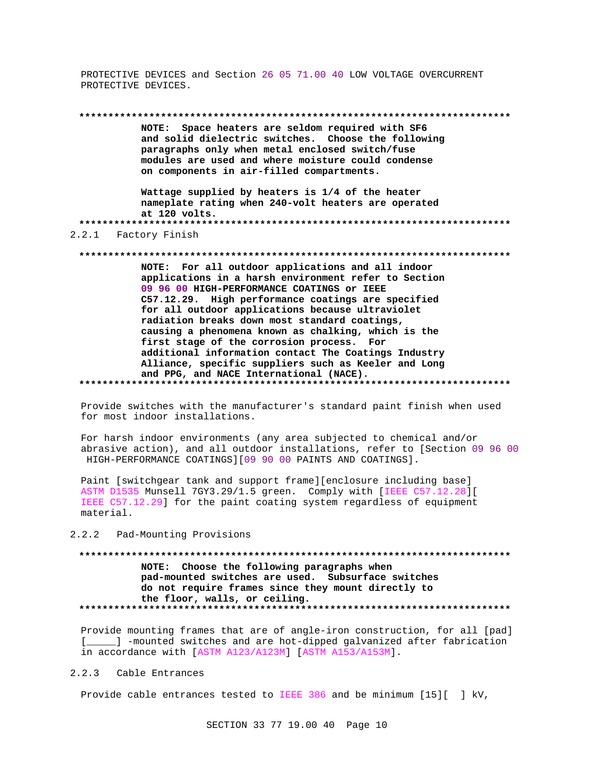PROTECTIVE DEVICES and Section 26 05 71.00 40 LOW VOLTAGE OVERCURRENT PROTECTIVE DEVICES.

NOTE: Space heaters are seldom required with SF6 and solid dielectric switches. Choose the following paragraphs only when metal enclosed switch/fuse modules are used and where moisture could condense on components in air-filled compartments. Wattage supplied by heaters is 1/4 of the heater nameplate rating when 240-volt heaters are operated at 120 volts. Factory Finish  $2.2.1$ 

## 

NOTE: For all outdoor applications and all indoor applications in a harsh environment refer to Section 09 96 00 HIGH-PERFORMANCE COATINGS OT IEEE C57.12.29. High performance coatings are specified for all outdoor applications because ultraviolet radiation breaks down most standard coatings, causing a phenomena known as chalking, which is the first stage of the corrosion process. For additional information contact The Coatings Industry Alliance, specific suppliers such as Keeler and Long and PPG, and NACE International (NACE).

Provide switches with the manufacturer's standard paint finish when used for most indoor installations.

For harsh indoor environments (any area subjected to chemical and/or abrasive action), and all outdoor installations, refer to [Section 09 96 00 HIGH-PERFORMANCE COATINGS][09 90 00 PAINTS AND COATINGS].

Paint [switchgear tank and support frame][enclosure including base] ASTM D1535 Munsell 7GY3.29/1.5 green. Comply with [IEEE C57.12.28][ IEEE C57.12.29] for the paint coating system regardless of equipment material.

#### $2.2.2$ Pad-Mounting Provisions

# NOTE: Choose the following paragraphs when pad-mounted switches are used. Subsurface switches do not require frames since they mount directly to the floor, walls, or ceiling.

Provide mounting frames that are of angle-iron construction, for all [pad] [\_\_\_\_\_] -mounted switches and are hot-dipped galvanized after fabrication in accordance with [ASTM A123/A123M] [ASTM A153/A153M].

#### $2.2.3$ Cable Entrances

Provide cable entrances tested to IEEE 386 and be minimum [15][ ] kV,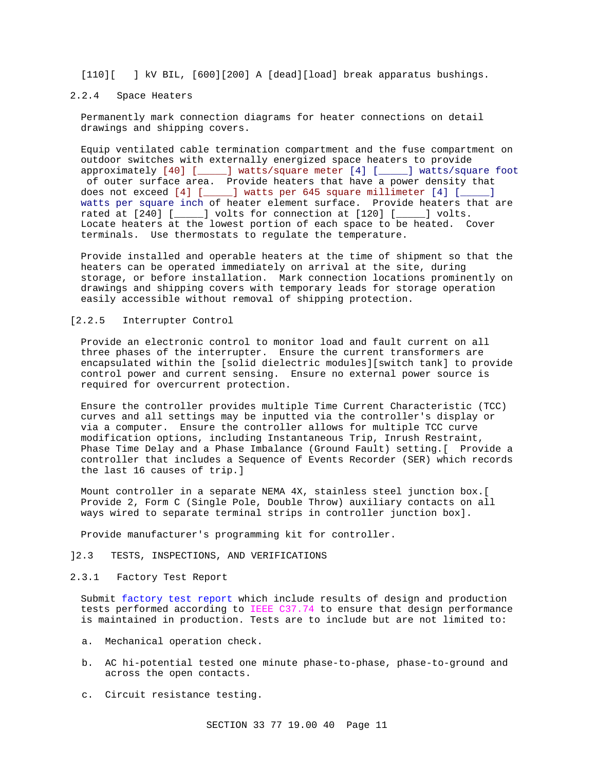[110][ ] kV BIL, [600][200] A [dead][load] break apparatus bushings.

## 2.2.4 Space Heaters

Permanently mark connection diagrams for heater connections on detail drawings and shipping covers.

Equip ventilated cable termination compartment and the fuse compartment on outdoor switches with externally energized space heaters to provide approximately [40] [\_\_\_\_\_] watts/square meter [4] [\_\_\_\_\_] watts/square foot of outer surface area. Provide heaters that have a power density that does not exceed [4] [\_\_\_\_\_] watts per 645 square millimeter [4] [\_\_\_\_\_] watts per square inch of heater element surface. Provide heaters that are rated at [240] [\_\_\_\_\_] volts for connection at [120] [\_\_\_\_\_] volts. Locate heaters at the lowest portion of each space to be heated. Cover terminals. Use thermostats to regulate the temperature.

Provide installed and operable heaters at the time of shipment so that the heaters can be operated immediately on arrival at the site, during storage, or before installation. Mark connection locations prominently on drawings and shipping covers with temporary leads for storage operation easily accessible without removal of shipping protection.

## [2.2.5 Interrupter Control

Provide an electronic control to monitor load and fault current on all three phases of the interrupter. Ensure the current transformers are encapsulated within the [solid dielectric modules][switch tank] to provide control power and current sensing. Ensure no external power source is required for overcurrent protection.

Ensure the controller provides multiple Time Current Characteristic (TCC) curves and all settings may be inputted via the controller's display or via a computer. Ensure the controller allows for multiple TCC curve modification options, including Instantaneous Trip, Inrush Restraint, Phase Time Delay and a Phase Imbalance (Ground Fault) setting.[ Provide a controller that includes a Sequence of Events Recorder (SER) which records the last 16 causes of trip.]

Mount controller in a separate NEMA 4X, stainless steel junction box.[ Provide 2, Form C (Single Pole, Double Throw) auxiliary contacts on all ways wired to separate terminal strips in controller junction box].

Provide manufacturer's programming kit for controller.

## ]2.3 TESTS, INSPECTIONS, AND VERIFICATIONS

## 2.3.1 Factory Test Report

Submit factory test report which include results of design and production tests performed according to IEEE C37.74 to ensure that design performance is maintained in production. Tests are to include but are not limited to:

- a. Mechanical operation check.
- b. AC hi-potential tested one minute phase-to-phase, phase-to-ground and across the open contacts.
- c. Circuit resistance testing.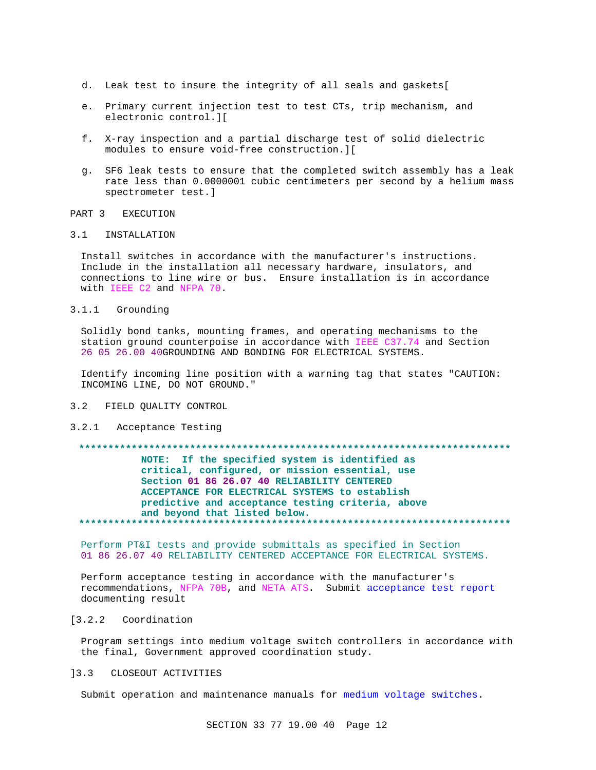- d. Leak test to insure the integrity of all seals and gaskets[
- e. Primary current injection test to test CTs, trip mechanism, and electronic control. ][
- f. X-ray inspection and a partial discharge test of solid dielectric modules to ensure void-free construction. ][
- g. SF6 leak tests to ensure that the completed switch assembly has a leak rate less than 0.0000001 cubic centimeters per second by a helium mass spectrometer test.]

#### PART 3 EXECUTION

#### INSTALLATION  $3.1$

Install switches in accordance with the manufacturer's instructions. Include in the installation all necessary hardware, insulators, and connections to line wire or bus. Ensure installation is in accordance with IEEE C2 and NFPA 70.

 $3.1.1$ Grounding

> Solidly bond tanks, mounting frames, and operating mechanisms to the station ground counterpoise in accordance with IEEE C37.74 and Section 26 05 26.00 40GROUNDING AND BONDING FOR ELECTRICAL SYSTEMS.

Identify incoming line position with a warning tag that states "CAUTION: INCOMING LINE, DO NOT GROUND."

- 3.2 FIELD QUALITY CONTROL
- 3.2.1 Acceptance Testing

#### 

NOTE: If the specified system is identified as critical, configured, or mission essential, use Section 01 86 26.07 40 RELIABILITY CENTERED ACCEPTANCE FOR ELECTRICAL SYSTEMS to establish predictive and acceptance testing criteria, above and beyond that listed below. 

Perform PT&I tests and provide submittals as specified in Section 01 86 26.07 40 RELIABILITY CENTERED ACCEPTANCE FOR ELECTRICAL SYSTEMS.

Perform acceptance testing in accordance with the manufacturer's recommendations, NFPA 70B, and NETA ATS. Submit acceptance test report documenting result

# [3.2.2 Coordination

Program settings into medium voltage switch controllers in accordance with the final, Government approved coordination study.

### 13.3 CLOSEOUT ACTIVITIES

Submit operation and maintenance manuals for medium voltage switches.